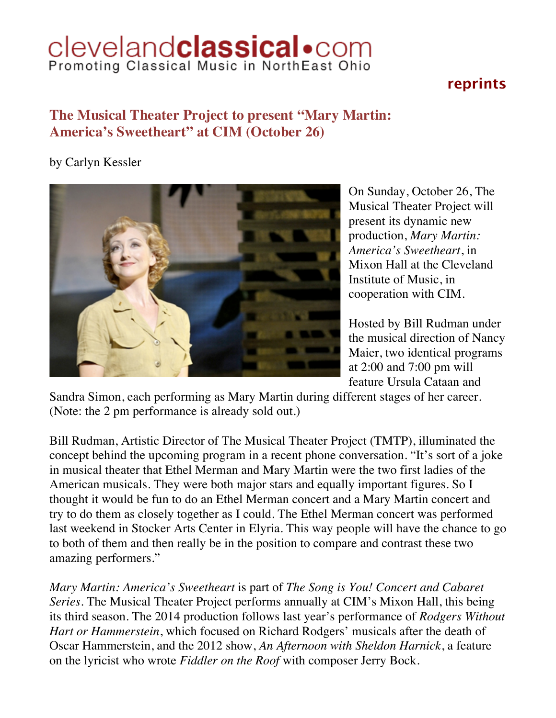## Cleveland**classical** .com

## **reprints**

## **The Musical Theater Project to present "Mary Martin: America's Sweetheart" at CIM (October 26)**

by Carlyn Kessler



On Sunday, October 26, The Musical Theater Project will present its dynamic new production, *Mary Martin: America's Sweetheart*, in Mixon Hall at the Cleveland Institute of Music, in cooperation with CIM.

Hosted by Bill Rudman under the musical direction of Nancy Maier, two identical programs at 2:00 and 7:00 pm will feature Ursula Cataan and

Sandra Simon, each performing as Mary Martin during different stages of her career. (Note: the 2 pm performance is already sold out.)

Bill Rudman, Artistic Director of The Musical Theater Project (TMTP), illuminated the concept behind the upcoming program in a recent phone conversation. "It's sort of a joke in musical theater that Ethel Merman and Mary Martin were the two first ladies of the American musicals. They were both major stars and equally important figures. So I thought it would be fun to do an Ethel Merman concert and a Mary Martin concert and try to do them as closely together as I could. The Ethel Merman concert was performed last weekend in Stocker Arts Center in Elyria. This way people will have the chance to go to both of them and then really be in the position to compare and contrast these two amazing performers."

*Mary Martin: America's Sweetheart* is part of *The Song is You! Concert and Cabaret Series*. The Musical Theater Project performs annually at CIM's Mixon Hall, this being its third season. The 2014 production follows last year's performance of *Rodgers Without Hart or Hammerstein*, which focused on Richard Rodgers' musicals after the death of Oscar Hammerstein, and the 2012 show, *An Afternoon with Sheldon Harnick*, a feature on the lyricist who wrote *Fiddler on the Roof* with composer Jerry Bock.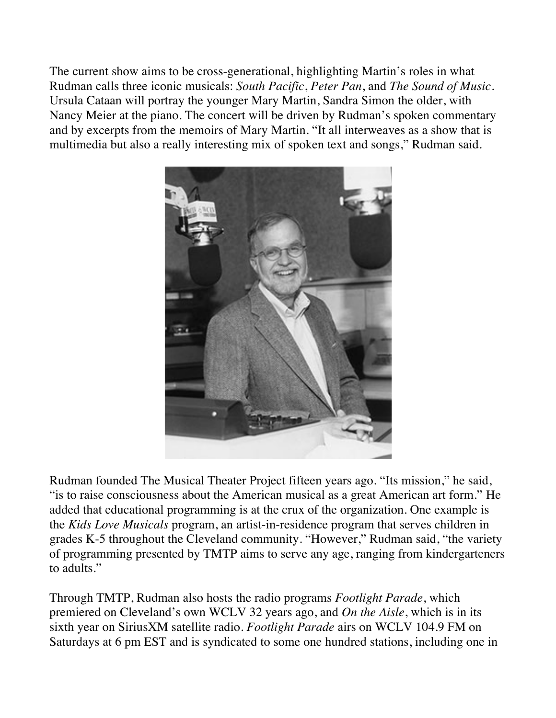The current show aims to be cross-generational, highlighting Martin's roles in what Rudman calls three iconic musicals: *South Pacific*, *Peter Pan*, and *The Sound of Music*. Ursula Cataan will portray the younger Mary Martin, Sandra Simon the older, with Nancy Meier at the piano. The concert will be driven by Rudman's spoken commentary and by excerpts from the memoirs of Mary Martin. "It all interweaves as a show that is multimedia but also a really interesting mix of spoken text and songs," Rudman said.



Rudman founded The Musical Theater Project fifteen years ago. "Its mission," he said, "is to raise consciousness about the American musical as a great American art form." He added that educational programming is at the crux of the organization. One example is the *Kids Love Musicals* program, an artist-in-residence program that serves children in grades K-5 throughout the Cleveland community. "However," Rudman said, "the variety of programming presented by TMTP aims to serve any age, ranging from kindergarteners to adults."

Through TMTP, Rudman also hosts the radio programs *Footlight Parade*, which premiered on Cleveland's own WCLV 32 years ago, and *On the Aisle*, which is in its sixth year on SiriusXM satellite radio. *Footlight Parade* airs on WCLV 104.9 FM on Saturdays at 6 pm EST and is syndicated to some one hundred stations, including one in